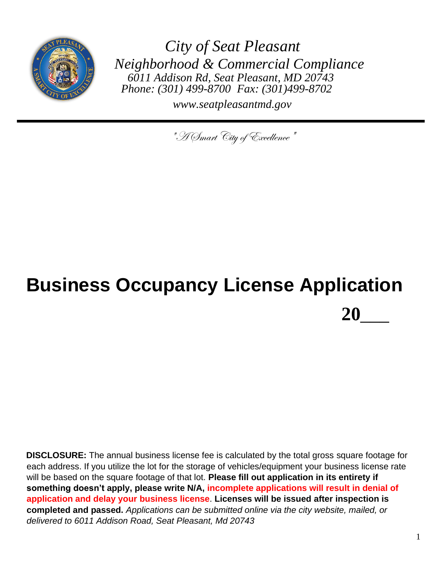

*City of Seat Pleasant Neighborhood & Commercial Compliance 6011 Addison Rd, Seat Pleasant, MD 20743 Phone: (301) 499-8700 Fax: (301)499-8702*

*www.seatpleasantmd.gov*

"A Smart City of Excellence"

# **Business Occupancy License Application 20**\_\_\_

**DISCLOSURE:** The annual business license fee is calculated by the total gross square footage for each address. If you utilize the lot for the storage of vehicles/equipment your business license rate will be based on the square footage of that lot. **Please fill out application in its entirety if something doesn't apply, please write N/A, incomplete applications will result in denial of application and delay your business license**. **Licenses will be issued after inspection is completed and passed.** *Applications can be submitted online via the city website, mailed, or delivered to 6011 Addison Road, Seat Pleasant, Md 20743*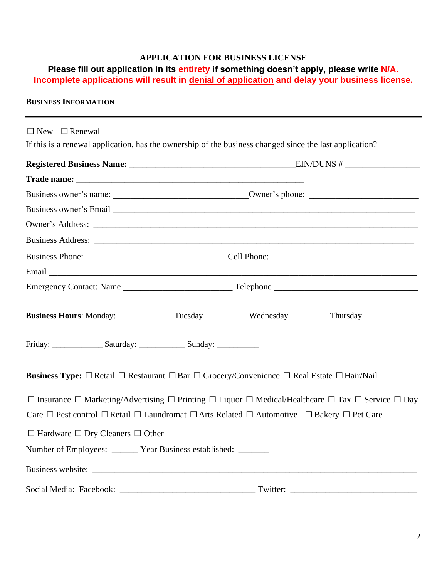## **APPLICATION FOR BUSINESS LICENSE**

## **Please fill out application in its entirety if something doesn't apply, please write N/A. Incomplete applications will result in denial of application and delay your business license.**

#### **BUSINESS INFORMATION**

| $\Box$ New $\Box$ Renewal                                                                                                                  |  |  |
|--------------------------------------------------------------------------------------------------------------------------------------------|--|--|
| If this is a renewal application, has the ownership of the business changed since the last application?                                    |  |  |
|                                                                                                                                            |  |  |
|                                                                                                                                            |  |  |
|                                                                                                                                            |  |  |
|                                                                                                                                            |  |  |
|                                                                                                                                            |  |  |
|                                                                                                                                            |  |  |
|                                                                                                                                            |  |  |
|                                                                                                                                            |  |  |
|                                                                                                                                            |  |  |
| Business Hours: Monday: ________________Tuesday ____________Wednesday __________Thursday __________                                        |  |  |
| Friday: _____________________Saturday: ____________________Sunday: _____________                                                           |  |  |
| <b>Business Type:</b> $\Box$ Retail $\Box$ Restaurant $\Box$ Bar $\Box$ Grocery/Convenience $\Box$ Real Estate $\Box$ Hair/Nail            |  |  |
| $\Box$ Insurance $\Box$ Marketing/Advertising $\Box$ Printing $\Box$ Liquor $\Box$ Medical/Healthcare $\Box$ Tax $\Box$ Service $\Box$ Day |  |  |
| Care $\Box$ Pest control $\Box$ Retail $\Box$ Laundromat $\Box$ Arts Related $\Box$ Automotive $\Box$ Bakery $\Box$ Pet Care               |  |  |
|                                                                                                                                            |  |  |
| Number of Employees: ______ Year Business established: ______                                                                              |  |  |
|                                                                                                                                            |  |  |
|                                                                                                                                            |  |  |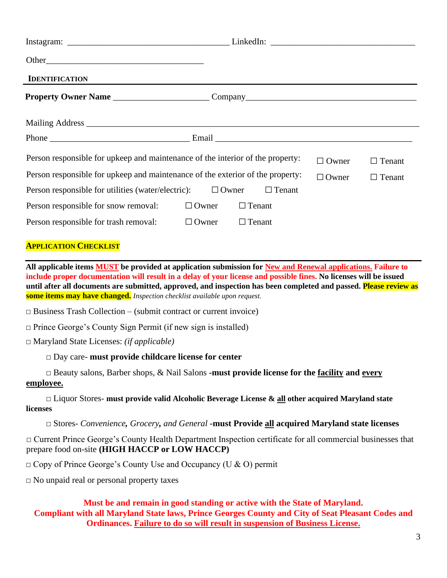| <b>IDENTIFICATION</b>                                                          |              | ,我们也不会有什么。""我们的人,我们也不会有什么?""我们的人,我们也不会有什么?""我们的人,我们也不会有什么?""我们的人,我们也不会有什么?""我们的人 |              |               |
|--------------------------------------------------------------------------------|--------------|----------------------------------------------------------------------------------|--------------|---------------|
|                                                                                |              |                                                                                  |              |               |
|                                                                                |              |                                                                                  |              |               |
|                                                                                |              |                                                                                  |              |               |
| Person responsible for upkeep and maintenance of the interior of the property: |              |                                                                                  | $\Box$ Owner | $\Box$ Tenant |
| Person responsible for upkeep and maintenance of the exterior of the property: |              |                                                                                  | $\Box$ Owner | $\Box$ Tenant |
| Person responsible for utilities (water/electric): $\Box$ Owner                |              | $\Box$ Tenant                                                                    |              |               |
| Person responsible for snow removal:                                           | $\Box$ Owner | $\Box$ Tenant                                                                    |              |               |
| Person responsible for trash removal:                                          | $\Box$ Owner | $\Box$ Tenant                                                                    |              |               |
|                                                                                |              |                                                                                  |              |               |

#### **APPLICATION CHECKLIST**

**All applicable items MUST be provided at application submission for New and Renewal applications. Failure to include proper documentation will result in a delay of your license and possible fines. No licenses will be issued until after all documents are submitted, approved, and inspection has been completed and passed. Please review as some items may have changed.** *Inspection checklist available upon request.*

*□* Business Trash Collection – (submit contract or current invoice)

*□* Prince George's County Sign Permit (if new sign is installed)

*□* Maryland State Licenses: *(if applicable)*

*□* Day care- **must provide childcare license for center**

*□* Beauty salons, Barber shops, & Nail Salons **-must provide license for the facility and every employee.**

*□* Liquor Stores- **must provide valid Alcoholic Beverage License & all other acquired Maryland state licenses**

*□* Stores- *Convenience, Grocery, and General* **-must Provide all acquired Maryland state licenses** 

*□* Current Prince George's County Health Department Inspection certificate for all commercial businesses that prepare food on-site **(HIGH HACCP or LOW HACCP)**

*□* Copy of Prince George's County Use and Occupancy (U & O) permit

*□* No unpaid real or personal property taxes

**Must be and remain in good standing or active with the State of Maryland. Compliant with all Maryland State laws, Prince Georges County and City of Seat Pleasant Codes and Ordinances. Failure to do so will result in suspension of Business License.**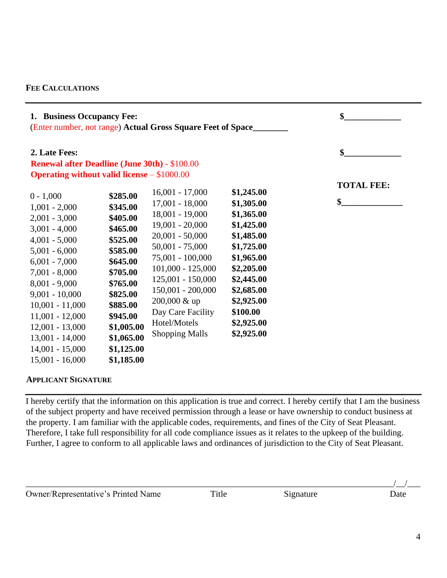#### **FEE CALCULATIONS**

| 1. Business Occupancy Fee:<br>(Enter number, not range) Actual Gross Square Feet of Space                                                                                                                                                                                                                             |                                                                                                                                                                                                      |                                                                                                                                                                                                                                                                                                   |                                                                                                                                                                                                | \$                      |
|-----------------------------------------------------------------------------------------------------------------------------------------------------------------------------------------------------------------------------------------------------------------------------------------------------------------------|------------------------------------------------------------------------------------------------------------------------------------------------------------------------------------------------------|---------------------------------------------------------------------------------------------------------------------------------------------------------------------------------------------------------------------------------------------------------------------------------------------------|------------------------------------------------------------------------------------------------------------------------------------------------------------------------------------------------|-------------------------|
| 2. Late Fees:<br><b>Renewal after Deadline (June 30th) - \$100.00</b><br><b>Operating without valid license</b> – \$1000.00                                                                                                                                                                                           |                                                                                                                                                                                                      |                                                                                                                                                                                                                                                                                                   |                                                                                                                                                                                                | \$                      |
| $0 - 1,000$<br>$1,001 - 2,000$<br>$2,001 - 3,000$<br>$3,001 - 4,000$<br>$4,001 - 5,000$<br>$5,001 - 6,000$<br>$6,001 - 7,000$<br>$7,001 - 8,000$<br>$8,001 - 9,000$<br>$9,001 - 10,000$<br>$10,001 - 11,000$<br>$11,001 - 12,000$<br>$12,001 - 13,000$<br>$13,001 - 14,000$<br>$14,001 - 15,000$<br>$15,001 - 16,000$ | \$285.00<br>\$345.00<br>\$405.00<br>\$465.00<br>\$525.00<br>\$585.00<br>\$645.00<br>\$705.00<br>\$765.00<br>\$825.00<br>\$885.00<br>\$945.00<br>\$1,005.00<br>\$1,065.00<br>\$1,125.00<br>\$1,185.00 | $16,001 - 17,000$<br>$17,001 - 18,000$<br>$18,001 - 19,000$<br>$19,001 - 20,000$<br>$20,001 - 50,000$<br>$50,001 - 75,000$<br>75,001 - 100,000<br>$101,000 - 125,000$<br>$125,001 - 150,000$<br>$150,001 - 200,000$<br>200,000 & up<br>Day Care Facility<br>Hotel/Motels<br><b>Shopping Malls</b> | \$1,245.00<br>\$1,305.00<br>\$1,365.00<br>\$1,425.00<br>\$1,485.00<br>\$1,725.00<br>\$1,965.00<br>\$2,205.00<br>\$2,445.00<br>\$2,685.00<br>\$2,925.00<br>\$100.00<br>\$2,925.00<br>\$2,925.00 | <b>TOTAL FEE:</b><br>\$ |

#### **APPLICANT SIGNATURE**

I hereby certify that the information on this application is true and correct. I hereby certify that I am the business of the subject property and have received permission through a lease or have ownership to conduct business at the property. I am familiar with the applicable codes, requirements, and fines of the City of Seat Pleasant. Therefore, I take full responsibility for all code compliance issues as it relates to the upkeep of the building. Further, I agree to conform to all applicable laws and ordinances of jurisdiction to the City of Seat Pleasant.